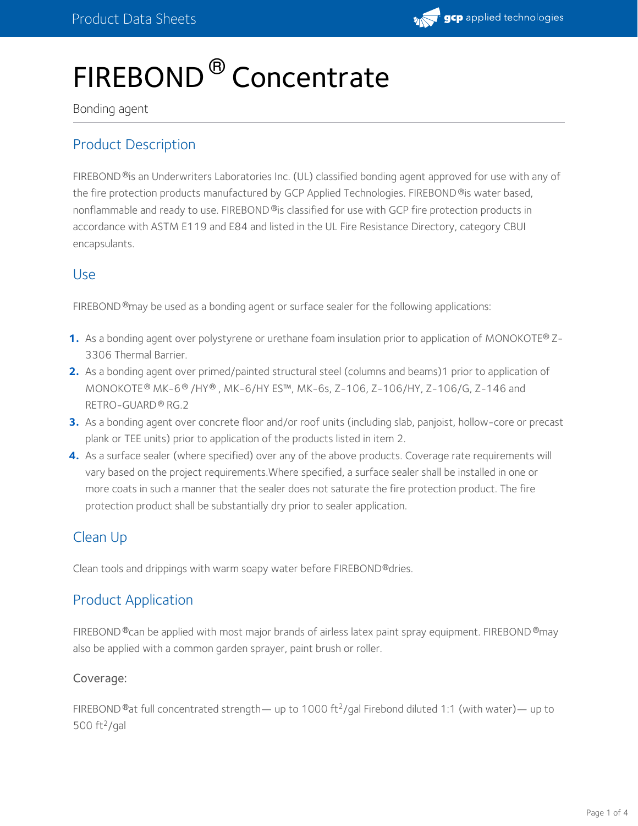

# FIREBOND<sup>®</sup> Concentrate

#### Bonding agent

# Product Description

FIREBOND®is an Underwriters Laboratories Inc. (UL) classified bonding agent approved for use with any of the fire protection products manufactured by GCP Applied Technologies. FIREBOND ®is water based, nonflammable and ready to use. FIREBOND®is classified for use with GCP fire protection products in accordance with ASTM E119 and E84 and listed in the UL Fire Resistance Directory, category CBUI encapsulants.

## Use

FIREBOND®may be used as a bonding agent or surface sealer for the following applications:

- **1.** As a bonding agent over polystyrene or urethane foam insulation prior to application of MONOKOTE® Z-<br>3306 Thermal Barrier.
- **2.** As a bonding agent over primed/painted structural steel (columns and beams)1 prior to application of MONOKOTE® MK-6® /HY® , MK-6/HY ES™, MK-6s, Z-106, Z-106/HY, Z-106/G, Z-146 and RETRO-GUARD® RG.2
- 3. As a bonding agent over concrete floor and/or roof units (including slab, panjoist, hollow-core or precast plank or TEE units) prior to application of the products listed in item 2. **3.**
- **4.** As a surface sealer (where specified) over any of the above products. Coverage rate requirements will vary based on the project requirements.Where specified, a surface sealer shall be installed in one or more coats in such a manner that the sealer does not saturate the fire protection product. The fire protection product shall be substantially dry prior to sealer application.

# Clean Up

Clean tools and drippings with warm soapy water before FIREBOND®dries.

## Product Application

FIREBOND®can be applied with most major brands of airless latex paint spray equipment. FIREBOND®may also be applied with a common garden sprayer, paint brush or roller.

### Coverage:

FIREBOND ®at full concentrated strength— up to 1000 ft<sup>2</sup>/gal Firebond diluted 1:1 (with water)— up to  $500$  ft<sup>2</sup>/gal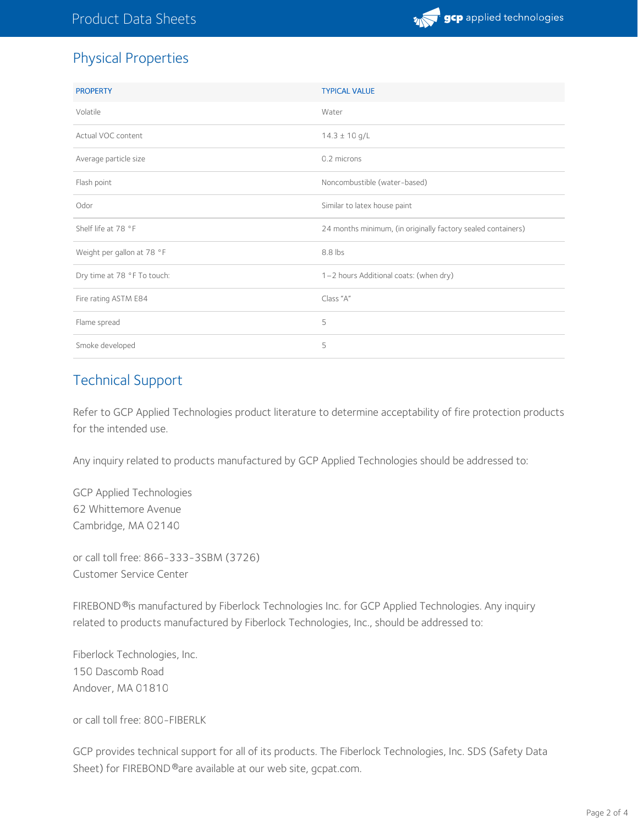# Physical Properties

| <b>PROPERTY</b>             | <b>TYPICAL VALUE</b>                                         |  |
|-----------------------------|--------------------------------------------------------------|--|
| Volatile                    | Water                                                        |  |
| Actual VOC content          | $14.3 \pm 10$ g/L                                            |  |
| Average particle size       | 0.2 microns                                                  |  |
| Flash point                 | Noncombustible (water-based)                                 |  |
| Odor                        | Similar to latex house paint                                 |  |
| Shelf life at 78 °F         | 24 months minimum, (in originally factory sealed containers) |  |
| Weight per gallon at 78 °F  | 8.8 lbs                                                      |  |
| Dry time at 78 °F To touch: | 1-2 hours Additional coats: (when dry)                       |  |
| Fire rating ASTM E84        | Class "A"                                                    |  |
| Flame spread                | 5                                                            |  |
| Smoke developed             | 5                                                            |  |

# Technical Support

Refer to GCP Applied Technologies product literature to determine acceptability of fire protection products for the intended use.

Any inquiry related to products manufactured by GCP Applied Technologies should be addressed to:

GCP Applied Technologies 62 Whittemore Avenue Cambridge, MA 02140

or call toll free: 866-333-3SBM (3726) Customer Service Center

FIREBOND®is manufactured by Fiberlock Technologies Inc. for GCP Applied Technologies. Any inquiry related to products manufactured by Fiberlock Technologies, Inc., should be addressed to:

Fiberlock Technologies, Inc. 150 Dascomb Road Andover, MA 01810

or call toll free: 800-FIBERLK

GCP provides technical support for all of its products. The Fiberlock Technologies, Inc. SDS (Safety Data Sheet) for FIREBOND®are available at our web site, gcpat.com.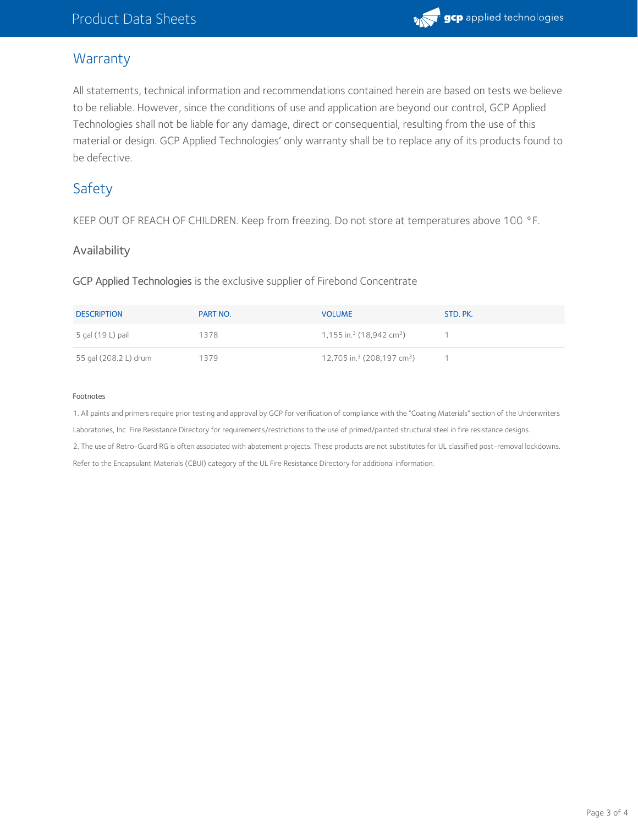

## **Warranty**

All statements, technical information and recommendations contained herein are based on tests we believe to be reliable. However, since the conditions of use and application are beyond our control, GCP Applied Technologies shall not be liable for any damage, direct or consequential, resulting from the use of this material or design. GCP Applied Technologies' only warranty shall be to replace any of its products found to be defective.

# Safety

KEEP OUT OF REACH OF CHILDREN. Keep from freezing. Do not store at temperatures above 100 °F.

#### Availability

GCP Applied Technologies is the exclusive supplier of Firebond Concentrate

| <b>DESCRIPTION</b>    | PART NO. | <b>VOLUME</b>                                      | STD. PK. |
|-----------------------|----------|----------------------------------------------------|----------|
| 5 gal (19 L) pail     | 1378     | 1,155 in. <sup>3</sup> (18,942 cm <sup>3</sup> )   |          |
| 55 gal (208.2 L) drum | 1379     | 12,705 in. <sup>3</sup> (208,197 cm <sup>3</sup> ) |          |

#### Footnotes

1. All paints and primers require prior testing and approval by GCP for verification of compliance with the "Coating Materials" section of the Underwriters Laboratories, Inc. Fire Resistance Directory for requirements/restrictions to the use of primed/painted structural steel in fire resistance designs. 2. The use of Retro-Guard RG is often associated with abatement projects. These products are not substitutes for UL classified post-removal lockdowns. Refer to the Encapsulant Materials (CBUI) category of the UL Fire Resistance Directory for additional information.